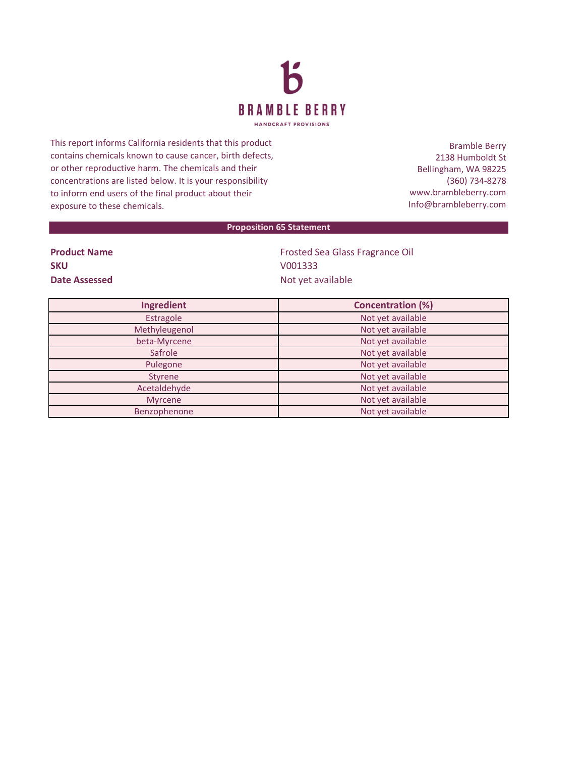

This report informs California residents that this product contains chemicals known to cause cancer, birth defects, or other reproductive harm. The chemicals and their concentrations are listed below. It is your responsibility to inform end users of the final product about their exposure to these chemicals.

Bramble Berry 2138 Humboldt St Bellingham, WA 98225 (360) 734-8278 www.brambleberry.com Info@brambleberry.com

## **Proposition 65 Statement**

| <b>Product Name</b> |  |
|---------------------|--|
| <b>SKU</b>          |  |
| Date Assessed       |  |

**Frosted Sea Glass Fragrance Oil SKU** V001333 **Date Assessed** Not yet available

| Ingredient    | <b>Concentration (%)</b> |
|---------------|--------------------------|
| Estragole     | Not yet available        |
| Methyleugenol | Not yet available        |
| beta-Myrcene  | Not yet available        |
| Safrole       | Not yet available        |
| Pulegone      | Not yet available        |
| Styrene       | Not yet available        |
| Acetaldehyde  | Not yet available        |
| Myrcene       | Not yet available        |
| Benzophenone  | Not yet available        |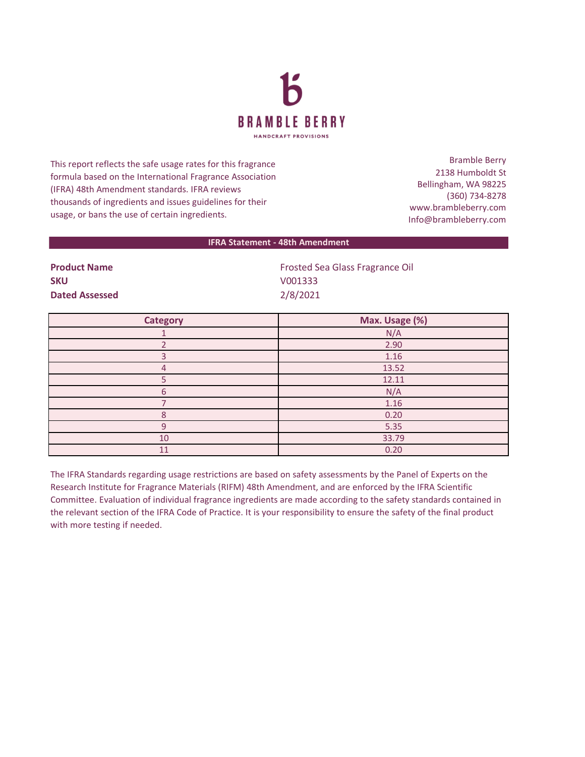

This report reflects the safe usage rates for this fragrance formula based on the International Fragrance Association (IFRA) 48th Amendment standards. IFRA reviews thousands of ingredients and issues guidelines for their usage, or bans the use of certain ingredients.

Bramble Berry 2138 Humboldt St Bellingham, WA 98225 (360) 734-8278 www.brambleberry.com Info@brambleberry.com

## **IFRA Statement - 48th Amendment**

| <b>Product Name</b>   | <b>Frosted Sea Glass Fragrance Oil</b> |
|-----------------------|----------------------------------------|
| <b>SKU</b>            | V001333                                |
| <b>Dated Assessed</b> | 2/8/2021                               |

| <b>Category</b> | Max. Usage (%) |
|-----------------|----------------|
|                 | N/A            |
|                 | 2.90           |
|                 | 1.16           |
| 4               | 13.52          |
|                 | 12.11          |
| 6               | N/A            |
|                 | 1.16           |
| 8               | 0.20           |
| q               | 5.35           |
| 10              | 33.79          |
| 11              | 0.20           |

The IFRA Standards regarding usage restrictions are based on safety assessments by the Panel of Experts on the Research Institute for Fragrance Materials (RIFM) 48th Amendment, and are enforced by the IFRA Scientific Committee. Evaluation of individual fragrance ingredients are made according to the safety standards contained in the relevant section of the IFRA Code of Practice. It is your responsibility to ensure the safety of the final product with more testing if needed.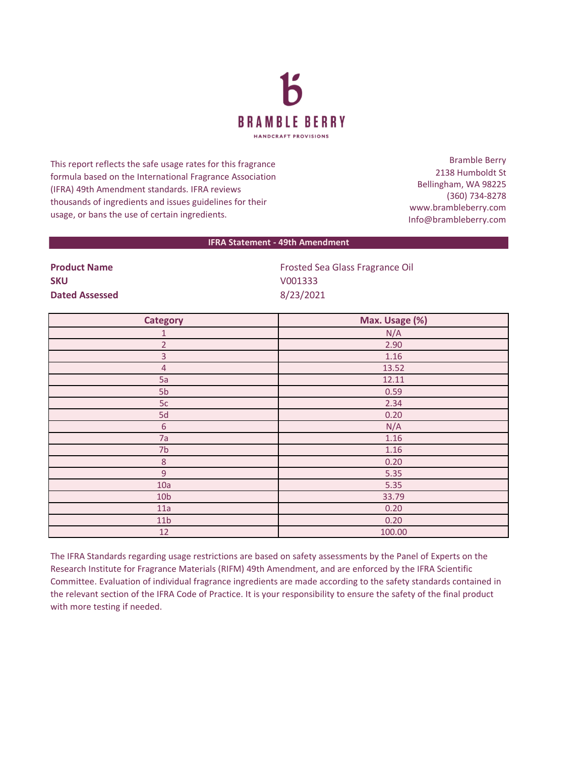

This report reflects the safe usage rates for this fragrance formula based on the International Fragrance Association (IFRA) 49th Amendment standards. IFRA reviews thousands of ingredients and issues guidelines for their usage, or bans the use of certain ingredients.

Bramble Berry 2138 Humboldt St Bellingham, WA 98225 (360) 734-8278 www.brambleberry.com Info@brambleberry.com

## **IFRA Statement - 49th Amendment**

**SKU** V001333 **Dated Assessed** 8/23/2021

**Product Name All 2018 Contract Sea Glass Fragrance Oil Product Name Contract Sea Glass Fragrance Oil** 

| <b>Category</b> | Max. Usage (%) |
|-----------------|----------------|
| $\mathbf{1}$    | N/A            |
| $\overline{2}$  | 2.90           |
| $\overline{3}$  | 1.16           |
| $\overline{4}$  | 13.52          |
| 5a              | 12.11          |
| 5 <sub>b</sub>  | 0.59           |
| 5c              | 2.34           |
| 5d              | 0.20           |
| $\sqrt{6}$      | N/A            |
| 7a              | 1.16           |
| 7 <sub>b</sub>  | 1.16           |
| $\bf 8$         | 0.20           |
| $\overline{9}$  | 5.35           |
| 10a             | 5.35           |
| 10 <sub>b</sub> | 33.79          |
| 11a             | 0.20           |
| 11 <sub>b</sub> | 0.20           |
| 12              | 100.00         |

The IFRA Standards regarding usage restrictions are based on safety assessments by the Panel of Experts on the Research Institute for Fragrance Materials (RIFM) 49th Amendment, and are enforced by the IFRA Scientific Committee. Evaluation of individual fragrance ingredients are made according to the safety standards contained in the relevant section of the IFRA Code of Practice. It is your responsibility to ensure the safety of the final product with more testing if needed.